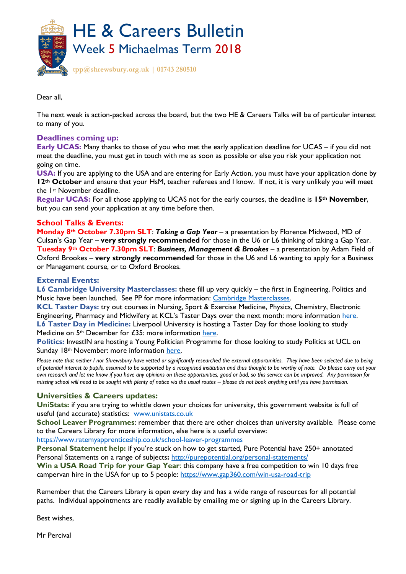

Dear all,

The next week is action-packed across the board, but the two HE & Careers Talks will be of particular interest to many of you.

## **Deadlines coming up:**

**Early UCAS:** Many thanks to those of you who met the early application deadline for UCAS – if you did not meet the deadline, you must get in touch with me as soon as possible or else you risk your application not going on time.

**USA:** If you are applying to the USA and are entering for Early Action, you must have your application done by **12th October** and ensure that your HsM, teacher referees and I know. If not, it is very unlikely you will meet the 1st November deadline.

**Regular UCAS:** For all those applying to UCAS not for the early courses, the deadline is **15th November**, but you can send your application at any time before then.

## **School Talks & Events:**

**Monday 8th October 7.30pm SLT**: *Taking a Gap Year –* a presentation by Florence Midwood, MD of Culsan's Gap Year – **very strongly recommended** for those in the U6 or L6 thinking of taking a Gap Year. **Tuesday 9th October 7.30pm SLT**: *Business, Management & Brookes* – a presentation by Adam Field of Oxford Brookes – **very strongly recommended** for those in the U6 and L6 wanting to apply for a Business or Management course, or to Oxford Brookes.

## **External Events:**

**L6 Cambridge University Masterclasses:** these fill up very quickly – the first in Engineering, Politics and Music have been launched. See PP for more information: [Cambridge Masterclasses.](https://www.undergraduate.study.cam.ac.uk/events/masterclasses)

**KCL Taster Days:** try out courses in Nursing, Sport & Exercise Medicine, Physics, Chemistry, Electronic Engineering, Pharmacy and Midwifery at KCL's Taster Days over the next month: more information [here.](https://www.kcl.ac.uk/events/events-calendar.aspx?keyword=taster&page=1) **L6 Taster Day in Medicine:** Liverpool University is hosting a Taster Day for those looking to study Medicine on 5<sup>th</sup> December for £35: more information [here.](https://payments.liv.ac.uk/conferences-and-events/events-at-liverpool/school-of-medicine/medicine-admissions-taster-day-december-2018)

**Politics:** InvestIN are hosting a Young Politician Programme for those looking to study Politics at UCL on Sunday 18<sup>th</sup> November: more information [here.](https://investineducation.co.uk/products/the-young-politician-programme?utm_source=InvestIN+Education+-+Schools+MASTER&utm_campaign=7b26bc2463-bankersschoolmar_COPY_02&utm_medium=email&utm_term=0_ea2e31bba1-7b26bc2463-134924861&mc_cid=7b26bc2463&mc_eid=a628e5b175)

*Please note that neither I nor Shrewsbury have vetted or significantly researched the external opportunities. They have been selected due to being of potential interest to pupils, assumed to be supported by a recognised institution and thus thought to be worthy of note. Do please carry out your own research and let me know if you have any opinions on these opportunities, good or bad, so this service can be improved. Any permission for missing school will need to be sought with plenty of notice via the usual routes – please do not book anything until you have permission.* 

## **Universities & Careers updates:**

**UniStats:** if you are trying to whittle down your choices for university, this government website is full of useful (and accurate) statistics: [www.unistats.co.uk](http://www.unistats.co.uk/)

**School Leaver Programmes**: remember that there are other choices than university available. Please come to the Careers Library for more information, else here is a useful overview:

<https://www.ratemyapprenticeship.co.uk/school-leaver-programmes>

**Personal Statement help:** if you're stuck on how to get started, Pure Potential have 250+ annotated Personal Statements on a range of subjects**:** <http://purepotential.org/personal-statements/>

**Win a USA Road Trip for your Gap Year**: this company have a free competition to win 10 days free campervan hire in the USA for up to 5 people: [https://www.gap360.com/win-usa-road-trip](https://www.gap360.com/win-usa-road-trip?utm_campaign=campervan-giveaway-ending&utm_medium=email&utm_source=active-campaign)

Remember that the Careers Library is open every day and has a wide range of resources for all potential paths. Individual appointments are readily available by emailing me or signing up in the Careers Library.

Best wishes,

Mr Percival